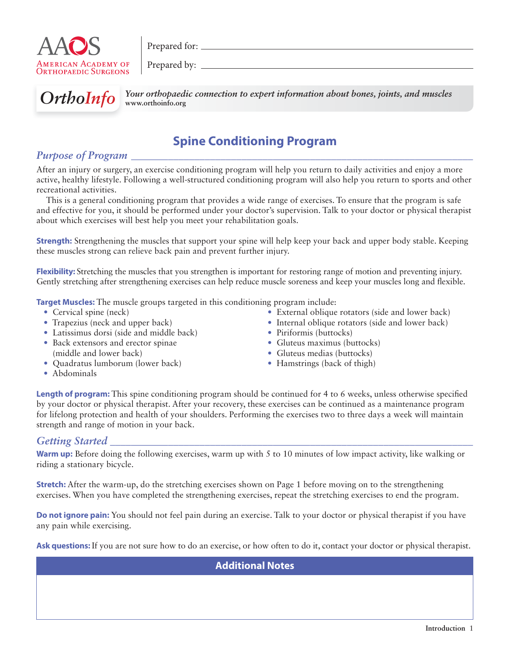

Prepared for:  $\equiv$ 

Prepared by:



**OrthoInfo** Your orthopaedic connection to expert information about bones, joints, and muscles **www.orthoinfo.org**

# **Spine Conditioning Program**

### *Purpose of Program*

After an injury or surgery, an exercise conditioning program will help you return to daily activities and enjoy a more active, healthy lifestyle. Following a well-structured conditioning program will also help you return to sports and other recreational activities.

This is a general conditioning program that provides a wide range of exercises. To ensure that the program is safe and effective for you, it should be performed under your doctor's supervision. Talk to your doctor or physical therapist about which exercises will best help you meet your rehabilitation goals.

**Strength:** Strengthening the muscles that support your spine will help keep your back and upper body stable. Keeping these muscles strong can relieve back pain and prevent further injury.

**Flexibility:** Stretching the muscles that you strengthen is important for restoring range of motion and preventing injury. Gently stretching after strengthening exercises can help reduce muscle soreness and keep your muscles long and flexible.

**Target Muscles:** The muscle groups targeted in this conditioning program include:

- Cervical spine (neck)
- Trapezius (neck and upper back)
- Latissimus dorsi (side and middle back)
- Back extensors and erector spinae (middle and lower back)
- Ouadratus lumborum (lower back)

• Piriformis (buttocks) • Gluteus maximus (buttocks)

• External oblique rotators (side and lower back) • Internal oblique rotators (side and lower back)

- Gluteus medias (buttocks)
- Hamstrings (back of thigh)

• Abdominals

**Length of program:** This spine conditioning program should be continued for 4 to 6 weeks, unless otherwise specified by your doctor or physical therapist. After your recovery, these exercises can be continued as a maintenance program for lifelong protection and health of your shoulders. Performing the exercises two to three days a week will maintain strength and range of motion in your back.

### *Getting Started*

**Warm up:** Before doing the following exercises, warm up with 5 to 10 minutes of low impact activity, like walking or riding a stationary bicycle.

**Stretch:** After the warm-up, do the stretching exercises shown on Page 1 before moving on to the strengthening exercises. When you have completed the strengthening exercises, repeat the stretching exercises to end the program.

**Do not ignore pain:** You should not feel pain during an exercise. Talk to your doctor or physical therapist if you have any pain while exercising.

Ask questions: If you are not sure how to do an exercise, or how often to do it, contact your doctor or physical therapist.

**Additional Notes**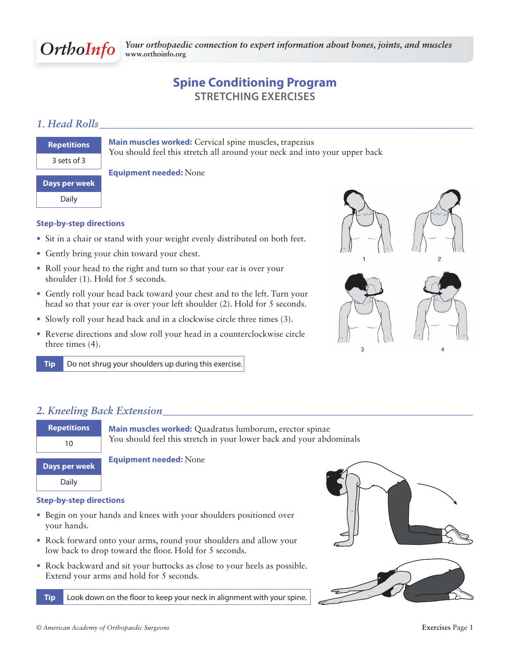## **Spine Conditioning Program STRETCHING EXERCISES**

### *1. Head Rolls \_\_\_\_\_\_\_\_\_\_\_\_\_\_\_\_\_\_\_\_\_\_\_\_\_\_\_\_\_\_\_\_\_\_\_\_\_\_\_\_\_\_\_\_\_\_\_\_\_\_\_\_\_\_\_\_\_\_\_\_\_\_\_\_\_\_\_\_\_\_\_*

| <b>Repetitions</b> |  |
|--------------------|--|
| 3 sets of 3        |  |

**Main muscles worked:** Cervical spine muscles, trapezius You should feel this stretch all around your neck and into your upper back

**Days per week**

Daily

#### **Step-by-step directions**

- Sit in a chair or stand with your weight evenly distributed on both feet.
- Gently bring your chin toward your chest.
- Roll your head to the right and turn so that your ear is over your shoulder (1). Hold for 5 seconds.

**Equipment needed:** None

- Gently roll your head back toward your chest and to the left. Turn your head so that your ear is over your left shoulder (2). Hold for 5 seconds.
- Slowly roll your head back and in a clockwise circle three times (3).
- Reverse directions and slow roll your head in a counterclockwise circle three times (4).

**Tip** Do not shrug your shoulders up during this exercise.



### *2. Kneeling Back Extension \_\_\_\_\_\_\_\_\_\_\_\_\_\_\_\_\_\_\_\_\_\_\_\_\_\_\_\_\_\_\_\_\_\_\_\_\_\_\_\_\_\_\_\_\_\_\_\_\_\_\_\_\_\_\_\_\_\_\_*

| <b>Repetitions</b> | Main muscles worked: Quadratus lumborum, erector spinae             |
|--------------------|---------------------------------------------------------------------|
| 10                 | You should feel this stretch in your lower back and your abdominals |
|                    | <b>Equipment needed: None</b>                                       |
| Days per week      |                                                                     |
| Daily              |                                                                     |

#### **Step-by-step directions**

- Begin on your hands and knees with your shoulders positioned over your hands.
- Rock forward onto your arms, round your shoulders and allow your low back to drop toward the floor. Hold for 5 seconds.
- Rock backward and sit your buttocks as close to your heels as possible. Extend your arms and hold for 5 seconds.

**Tip** Look down on the floor to keep your neck in alignment with your spine.



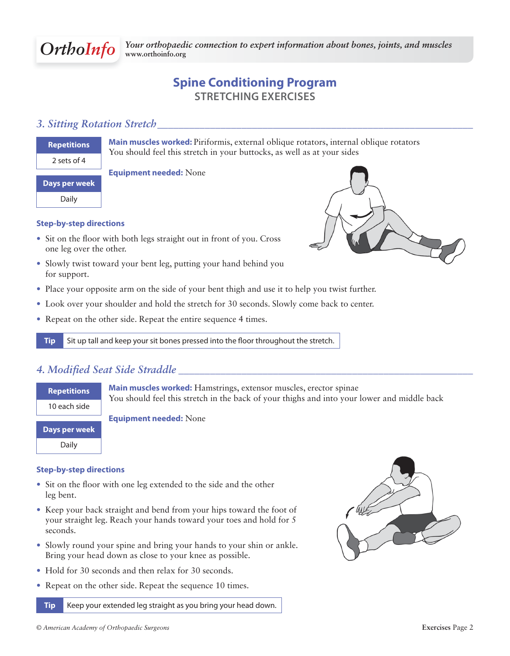

## **Spine Conditioning Program STRETCHING EXERCISES**

### *3. Sitting Rotation Stretch \_\_\_\_\_\_\_\_\_\_\_\_\_\_\_\_\_\_\_\_\_\_\_\_\_\_\_\_\_\_\_\_\_\_\_\_\_\_\_\_\_\_\_\_\_\_\_\_\_\_\_\_\_\_\_\_\_\_\_\_*

### **Repetitions** 2 sets of 4

**Main muscles worked:** Piriformis, external oblique rotators, internal oblique rotators You should feel this stretch in your buttocks, as well as at your sides

**Days per week**

Daily

#### **Step-by-step directions**

• Sit on the floor with both legs straight out in front of you. Cross one leg over the other.

**Equipment needed:** None

- Slowly twist toward your bent leg, putting your hand behind you for support.
- Place your opposite arm on the side of your bent thigh and use it to help you twist further.
- Look over your shoulder and hold the stretch for 30 seconds. Slowly come back to center.
- Repeat on the other side. Repeat the entire sequence 4 times.

**Tip** Sit up tall and keep your sit bones pressed into the floor throughout the stretch.

### *4. Modi ed Seat Side Straddle \_\_\_\_\_\_\_\_\_\_\_\_\_\_\_\_\_\_\_\_\_\_\_\_\_\_\_\_\_\_\_\_\_\_\_\_\_\_\_\_\_\_\_\_\_\_\_\_\_\_\_\_\_\_\_\_*

**Main muscles worked:** Hamstrings, extensor muscles, erector spinae You should feel this stretch in the back of your thighs and into your lower and middle back **Equipment needed:** None **Repetitions** 10 each side **Days per week** Daily

#### **Step-by-step directions**

- Sit on the floor with one leg extended to the side and the other leg bent.
- Keep your back straight and bend from your hips toward the foot of your straight leg. Reach your hands toward your toes and hold for 5 seconds.
- Slowly round your spine and bring your hands to your shin or ankle. Bring your head down as close to your knee as possible.
- Hold for 30 seconds and then relax for 30 seconds.
- Repeat on the other side. Repeat the sequence 10 times.

**Tip** Keep your extended leg straight as you bring your head down.



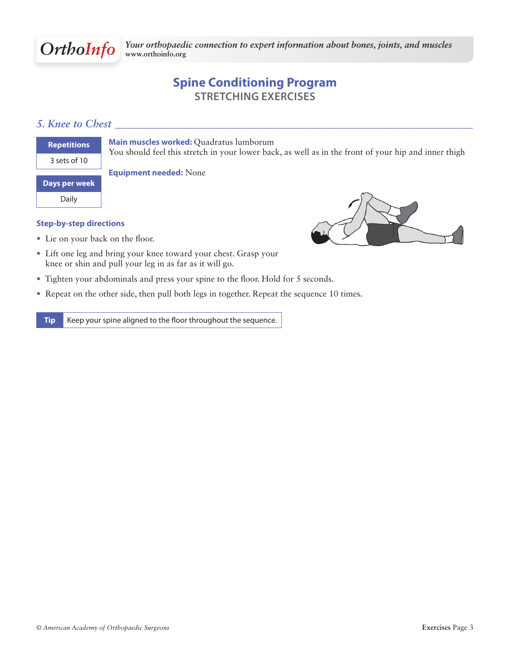

## **Spine Conditioning Program STRETCHING EXERCISES**

### *5. Knee to Chest*

| <b>Repetitions</b> |
|--------------------|
| 3 sets of 10       |

**Main muscles worked:** Quadratus lumborum

You should feel this stretch in your lower back, as well as in the front of your hip and inner thigh

**Days per week**

Daily

#### **Step-by-step directions**

- Lie on your back on the floor.
- Lift one leg and bring your knee toward your chest. Grasp your knee or shin and pull your leg in as far as it will go.

**Equipment needed:** None

- Tighten your abdominals and press your spine to the floor. Hold for 5 seconds.
- Repeat on the other side, then pull both legs in together. Repeat the sequence 10 times.

**Tip** Keep your spine aligned to the floor throughout the sequence.

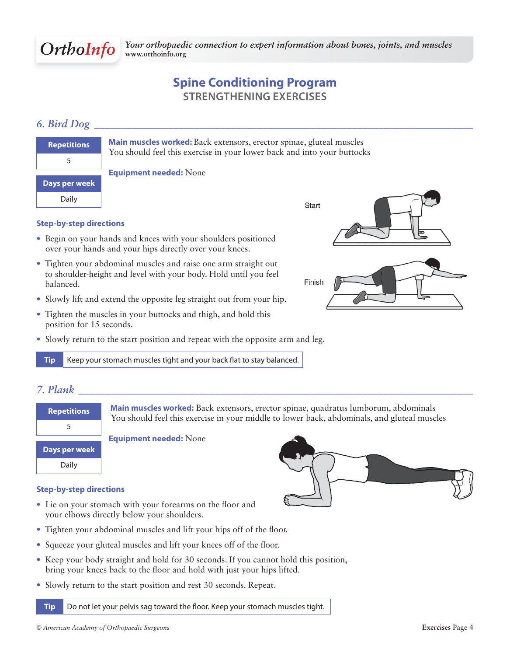## **Spine Conditioning Program STRENGTHENING EXERCISES**

### *6. Bird Dog \_\_\_\_\_\_\_\_\_\_\_\_\_\_\_\_\_\_\_\_\_\_\_\_\_\_\_\_\_\_\_\_\_\_\_\_\_\_\_\_\_\_\_\_\_\_\_\_\_\_\_\_\_\_\_\_\_\_\_\_\_\_\_\_\_\_\_\_\_\_\_\_*

| <b>Repetitions</b> |
|--------------------|
| 5                  |
| Days per week      |
| Daily              |

**Main muscles worked:** Back extensors, erector spinae, gluteal muscles You should feel this exercise in your lower back and into your buttocks

#### **Equipment needed:** None



#### **Step-by-step directions**

- Begin on your hands and knees with your shoulders positioned over your hands and your hips directly over your knees.
- Tighten your abdominal muscles and raise one arm straight out to shoulder-height and level with your body. Hold until you feel balanced.
- Slowly lift and extend the opposite leg straight out from your hip.
- Tighten the muscles in your buttocks and thigh, and hold this position for 15 seconds.
- Slowly return to the start position and repeat with the opposite arm and leg.

**Tip** Keep your stomach muscles tight and your back flat to stay balanced.

### *7. Plank \_\_\_\_\_\_\_\_\_\_\_\_\_\_\_\_\_\_\_\_\_\_\_\_\_\_\_\_\_\_\_\_\_\_\_\_\_\_\_\_\_\_\_\_\_\_\_\_\_\_\_\_\_\_\_\_\_\_\_\_\_\_\_\_\_\_\_\_\_\_\_\_\_\_\_*

| <b>Repetitions</b> |
|--------------------|
| 5                  |
| Days per week      |
| Dailv              |

 **Main muscles worked:** Back extensors, erector spinae, quadratus lumborum, abdominals You should feel this exercise in your middle to lower back, abdominals, and gluteal muscles

**Equipment needed:** None

#### **Step-by-step directions**

- Lie on your stomach with your forearms on the floor and your elbows directly below your shoulders.
- Tighten your abdominal muscles and lift your hips off of the floor.
- Squeeze your gluteal muscles and lift your knees off of the floor.
- Keep your body straight and hold for 30 seconds. If you cannot hold this position, bring your knees back to the floor and hold with just your hips lifted.
- Slowly return to the start position and rest 30 seconds. Repeat.

**Tip** Do not let your pelvis sag toward the floor. Keep your stomach muscles tight.

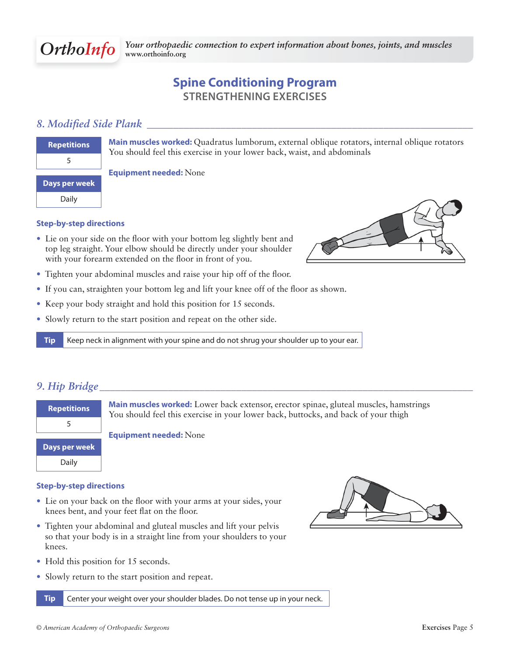## **Spine Conditioning Program STRENGTHENING EXERCISES**

### *8. Modified Side Plank <i>Plank Plank Plank Plank Plank Plank Plank Plank Plank Plank Plank Plank Plank* **<b>***Plank Plank Plank Plank Plank Plank* **<b>***Plank*

| <b>Repetitions</b> |
|--------------------|
| 5                  |
|                    |
| Days per week      |
| Daily              |

**Main muscles worked:** Quadratus lumborum, external oblique rotators, internal oblique rotators You should feel this exercise in your lower back, waist, and abdominals

#### **Equipment needed:** None

#### **Step-by-step directions**

- Lie on your side on the floor with your bottom leg slightly bent and top leg straight. Your elbow should be directly under your shoulder with your forearm extended on the floor in front of you.
- Tighten your abdominal muscles and raise your hip off of the floor.
- If you can, straighten your bottom leg and lift your knee off of the floor as shown.
- Keep your body straight and hold this position for 15 seconds.
- Slowly return to the start position and repeat on the other side.

**Tip** Keep neck in alignment with your spine and do not shrug your shoulder up to your ear.

### *9. Hip Bridge \_\_\_\_\_\_\_\_\_\_\_\_\_\_\_\_\_\_\_\_\_\_\_\_\_\_\_\_\_\_\_\_\_\_\_\_\_\_\_\_\_\_\_\_\_\_\_\_\_\_\_\_\_\_\_\_\_\_\_\_\_\_\_\_\_\_\_\_\_\_\_*

| <b>Repetitions</b> | Main muscles worked: Lower back extensor, erector spinae, gluteal muscles, hamstrings<br>You should feel this exercise in your lower back, buttocks, and back of your thigh |
|--------------------|-----------------------------------------------------------------------------------------------------------------------------------------------------------------------------|
|                    |                                                                                                                                                                             |
|                    | <b>Equipment needed: None</b>                                                                                                                                               |
| Days per week      |                                                                                                                                                                             |
| Daily              |                                                                                                                                                                             |

#### **Step-by-step directions**

- Lie on your back on the floor with your arms at your sides, your knees bent, and your feet flat on the floor.
- Tighten your abdominal and gluteal muscles and lift your pelvis so that your body is in a straight line from your shoulders to your knees.
- Hold this position for 15 seconds.
- Slowly return to the start position and repeat.

**Tip** Center your weight over your shoulder blades. Do not tense up in your neck.